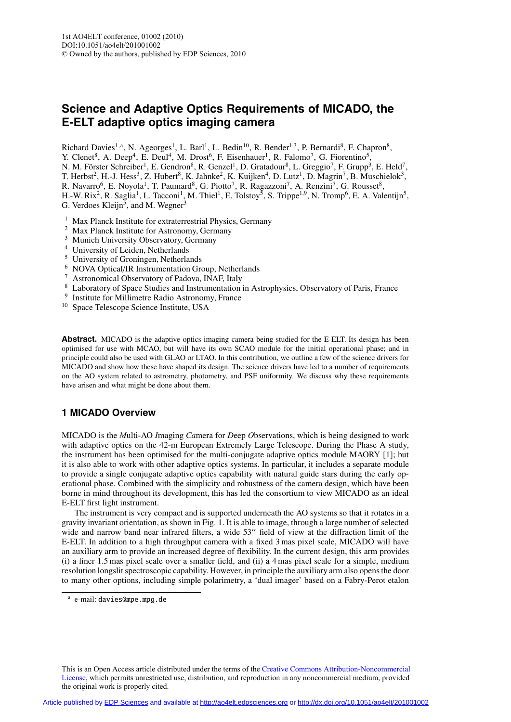# **Science and Adaptive Optics Requirements of MICADO, the E-ELT adaptive optics imaging camera**

Richard Davies<sup>1,a</sup>, N. Ageorges<sup>1</sup>, L. Barl<sup>1</sup>, L. Bedin<sup>10</sup>, R. Bender<sup>1,3</sup>, P. Bernardi<sup>8</sup>, F. Chapron<sup>8</sup>,

Y. Clenet<sup>8</sup>, A. Deep<sup>4</sup>, E. Deul<sup>4</sup>, M. Drost<sup>6</sup>, F. Eisenhauer<sup>1</sup>, R. Falomo<sup>7</sup>, G. Fiorentino<sup>5</sup>,

N. M. Förster Schreiber<sup>1</sup>, E. Gendron<sup>8</sup>, R. Genzel<sup>1</sup>, D. Gratadour<sup>8</sup>, L. Greggio<sup>7</sup>, F. Grupp<sup>3</sup>, E. Held<sup>7</sup>,

T. Herbst<sup>2</sup>, H.-J. Hess<sup>3</sup>, Z. Hubert<sup>8</sup>, K. Jahnke<sup>2</sup>, K. Kuijken<sup>4</sup>, D. Lutz<sup>1</sup>, D. Magrin<sup>7</sup>, B. Muschielok<sup>3</sup>,

R. Navarro<sup>6</sup>, E. Noyola<sup>1</sup>, T. Paumard<sup>8</sup>, G. Piotto<sup>7</sup>, R. Ragazzoni<sup>7</sup>, A. Renzini<sup>7</sup>, G. Rousset<sup>8</sup>,

H.-W. Rix<sup>2</sup>, R. Saglia<sup>1</sup>, L. Tacconi<sup>1</sup>, M. Thiel<sup>1</sup>, E. Tolstoy<sup>5</sup>, S. Trippe<sup>1,9</sup>, N. Tromp<sup>6</sup>, E. A. Valentijn<sup>5</sup>, G. Verdoes Kleijn<sup>5</sup>, and M. Wegner<sup>3</sup>

<sup>1</sup> Max Planck Institute for extraterrestrial Physics, Germany

- <sup>2</sup> Max Planck Institute for Astronomy, Germany
- <sup>3</sup> Munich University Observatory, Germany
- <sup>4</sup> University of Leiden, Netherlands
- <sup>5</sup> University of Groningen, Netherlands
- <sup>6</sup> NOVA Optical/IR Instrumentation Group, Netherlands
- <sup>7</sup> Astronomical Observatory of Padova, INAF, Italy
- <sup>8</sup> Laboratory of Space Studies and Instrumentation in Astrophysics, Observatory of Paris, France
- <sup>9</sup> Institute for Millimetre Radio Astronomy, France
- <sup>10</sup> Space Telescope Science Institute, USA

Abstract. MICADO is the adaptive optics imaging camera being studied for the E-ELT. Its design has been optimised for use with MCAO, but will have its own SCAO module for the initial operational phase; and in principle could also be used with GLAO or LTAO. In this contribution, we outline a few of the science drivers for MICADO and show how these have shaped its design. The science drivers have led to a number of requirements on the AO system related to astrometry, photometry, and PSF uniformity. We discuss why these requirements have arisen and what might be done about them.

# **1 MICADO Overview**

MICADO is the *M*ulti-AO *I*maging *Ca*mera for *D*eep *O*bservations, which is being designed to work with adaptive optics on the 42-m European Extremely Large Telescope. During the Phase A study, the instrument has been optimised for the multi-conjugate adaptive optics module MAORY [1]; but it is also able to work with other adaptive optics systems. In particular, it includes a separate module to provide a single conjugate adaptive optics capability with natural guide stars during the early operational phase. Combined with the simplicity and robustness of the camera design, which have been borne in mind throughout its development, this has led the consortium to view MICADO as an ideal E-ELT first light instrument.

The instrument is very compact and is supported underneath the AO systems so that it rotates in a gravity invariant orientation, as shown in Fig. 1. It is able to image, through a large number of selected wide and narrow band near infrared filters, a wide 53" field of view at the diffraction limit of the E-ELT. In addition to a high throughput camera with a fixed 3 mas pixel scale, MICADO will have an auxiliary arm to provide an increased degree of flexibility. In the current design, this arm provides (i) a finer 1.5 mas pixel scale over a smaller field, and (ii) a 4 mas pixel scale for a simple, medium resolution longslit spectroscopic capability. However, in principle the auxiliary arm also opens the door to many other options, including simple polarimetry, a 'dual imager' based on a Fabry-Perot etalon

This is an Open Access article distributed under the terms of the Creative Commons Attribution-Noncommercial License, which permits unrestricted use, distribution, and reproduction in any noncommercial medium, provided the original work is properly cited.

<sup>a</sup> e-mail: davies@mpe.mpg.de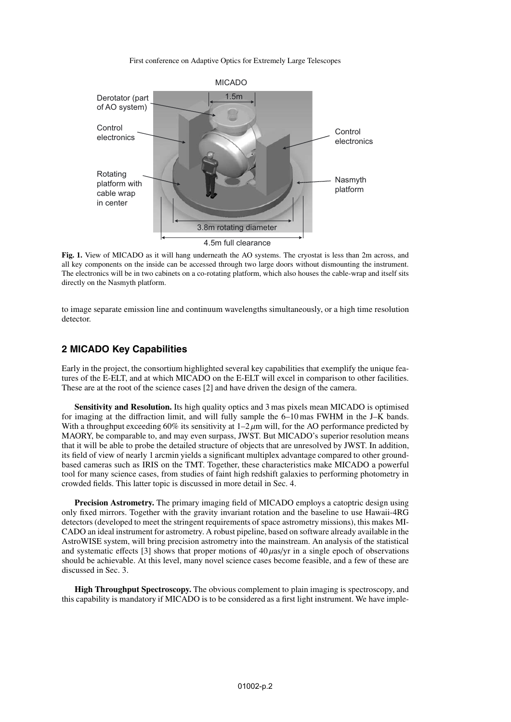First conference on Adaptive Optics for Extremely Large Telescopes



**Fig. 1.** View of MICADO as it will hang underneath the AO systems. The cryostat is less than 2m across, and all key components on the inside can be accessed through two large doors without dismounting the instrument. The electronics will be in two cabinets on a co-rotating platform, which also houses the cable-wrap and itself sits directly on the Nasmyth platform.

to image separate emission line and continuum wavelengths simultaneously, or a high time resolution detector.

# **2 MICADO Key Capabilities**

Early in the project, the consortium highlighted several key capabilities that exemplify the unique features of the E-ELT, and at which MICADO on the E-ELT will excel in comparison to other facilities. These are at the root of the science cases [2] and have driven the design of the camera.

**Sensitivity and Resolution.** Its high quality optics and 3 mas pixels mean MICADO is optimised for imaging at the diffraction limit, and will fully sample the 6–10 mas FWHM in the J–K bands. With a throughput exceeding 60% its sensitivity at  $1-2 \mu m$  will, for the AO performance predicted by MAORY, be comparable to, and may even surpass, JWST. But MICADO's superior resolution means that it will be able to probe the detailed structure of objects that are unresolved by JWST. In addition, its field of view of nearly 1 arcmin yields a significant multiplex advantage compared to other groundbased cameras such as IRIS on the TMT. Together, these characteristics make MICADO a powerful tool for many science cases, from studies of faint high redshift galaxies to performing photometry in crowded fields. This latter topic is discussed in more detail in Sec. 4.

**Precision Astrometry.** The primary imaging field of MICADO employs a catoptric design using only fixed mirrors. Together with the gravity invariant rotation and the baseline to use Hawaii-4RG detectors (developed to meet the stringent requirements of space astrometry missions), this makes MI-CADO an ideal instrument for astrometry. A robust pipeline, based on software already available in the AstroWISE system, will bring precision astrometry into the mainstream. An analysis of the statistical and systematic effects [3] shows that proper motions of  $40 \mu$ as/yr in a single epoch of observations should be achievable. At this level, many novel science cases become feasible, and a few of these are discussed in Sec. 3.

**High Throughput Spectroscopy.** The obvious complement to plain imaging is spectroscopy, and this capability is mandatory if MICADO is to be considered as a first light instrument. We have imple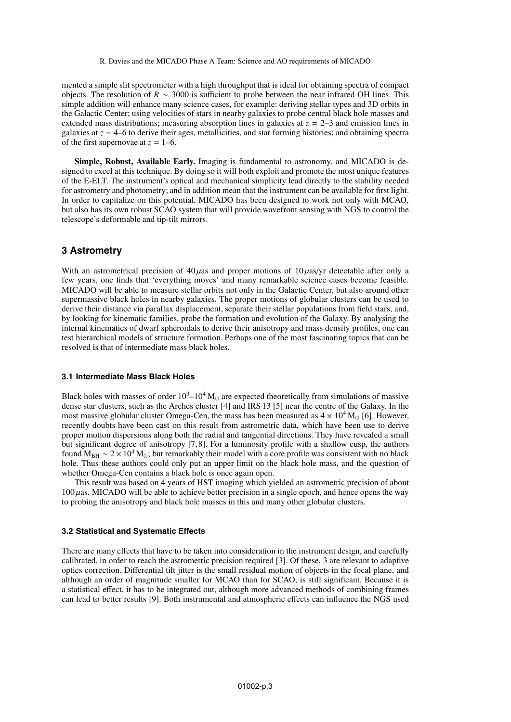mented a simple slit spectrometer with a high throughput that is ideal for obtaining spectra of compact objects. The resolution of *R* ∼ 3000 is sufficient to probe between the near infrared OH lines. This simple addition will enhance many science cases, for example: deriving stellar types and 3D orbits in the Galactic Center; using velocities of stars in nearby galaxies to probe central black hole masses and extended mass distributions; measuring absorption lines in galaxies at *z* = 2–3 and emission lines in galaxies at  $z = 4-6$  to derive their ages, metallicities, and star forming histories; and obtaining spectra of the first supernovae at  $z = 1-6$ .

**Simple, Robust, Available Early.** Imaging is fundamental to astronomy, and MICADO is designed to excel at this technique. By doing so it will both exploit and promote the most unique features of the E-ELT. The instrument's optical and mechanical simplicity lead directly to the stability needed for astrometry and photometry; and in addition mean that the instrument can be available for first light. In order to capitalize on this potential, MICADO has been designed to work not only with MCAO, but also has its own robust SCAO system that will provide wavefront sensing with NGS to control the telescope's deformable and tip-tilt mirrors.

## **3 Astrometry**

With an astrometrical precision of  $40 \mu$ as and proper motions of  $10 \mu$ as/yr detectable after only a few years, one finds that 'everything moves' and many remarkable science cases become feasible. MICADO will be able to measure stellar orbits not only in the Galactic Center, but also around other supermassive black holes in nearby galaxies. The proper motions of globular clusters can be used to derive their distance via parallax displacement, separate their stellar populations from field stars, and, by looking for kinematic families, probe the formation and evolution of the Galaxy. By analysing the internal kinematics of dwarf spheroidals to derive their anisotropy and mass density profiles, one can test hierarchical models of structure formation. Perhaps one of the most fascinating topics that can be resolved is that of intermediate mass black holes.

#### **3.1 Intermediate Mass Black Holes**

Black holes with masses of order  $10^3$ – $10^4$  M<sub>o</sub> are expected theoretically from simulations of massive dense star clusters, such as the Arches cluster [4] and IRS 13 [5] near the centre of the Galaxy. In the most massive globular cluster Omega-Cen, the mass has been measured as  $4 \times 10^4$  M<sub>\oo</sub> [6]. However, recently doubts have been cast on this result from astrometric data, which have been use to derive proper motion dispersions along both the radial and tangential directions. They have revealed a small but significant degree of anisotropy [7,8]. For a luminosity profile with a shallow cusp, the authors found M<sub>BH</sub> ∼ 2 × 10<sup>4</sup> M<sub>☉</sub>; but remarkably their model with a core profile was consistent with no black hole. Thus these authors could only put an upper limit on the black hole mass, and the question of whether Omega-Cen contains a black hole is once again open.

This result was based on 4 years of HST imaging which yielded an astrometric precision of about  $100 \mu$ as. MICADO will be able to achieve better precision in a single epoch, and hence opens the way to probing the anisotropy and black hole masses in this and many other globular clusters.

## **3.2 Statistical and Systematic Effects**

There are many effects that have to be taken into consideration in the instrument design, and carefully calibrated, in order to reach the astrometric precision required [3]. Of these, 3 are relevant to adaptive optics correction. Differential tilt jitter is the small residual motion of objects in the focal plane, and although an order of magnitude smaller for MCAO than for SCAO, is still significant. Because it is a statistical effect, it has to be integrated out, although more advanced methods of combining frames can lead to better results [9]. Both instrumental and atmospheric effects can influence the NGS used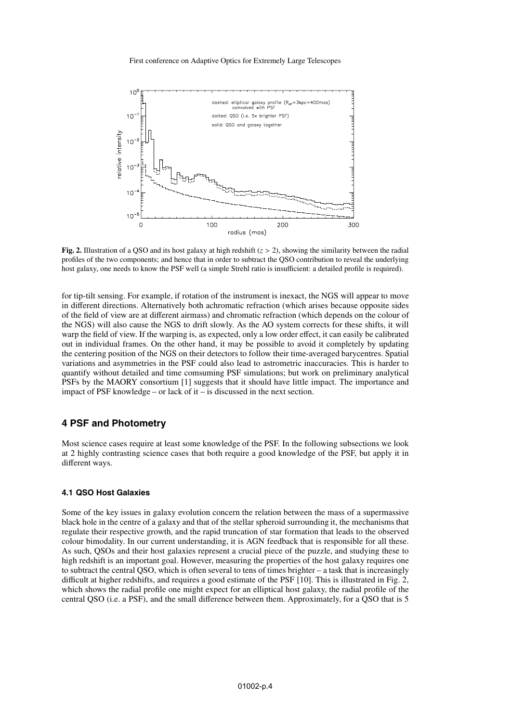First conference on Adaptive Optics for Extremely Large Telescopes



**Fig. 2.** Illustration of a QSO and its host galaxy at high redshift  $(z > 2)$ , showing the similarity between the radial profiles of the two components; and hence that in order to subtract the QSO contribution to reveal the underlying host galaxy, one needs to know the PSF well (a simple Strehl ratio is insufficient: a detailed profile is required).

for tip-tilt sensing. For example, if rotation of the instrument is inexact, the NGS will appear to move in different directions. Alternatively both achromatic refraction (which arises because opposite sides of the field of view are at different airmass) and chromatic refraction (which depends on the colour of the NGS) will also cause the NGS to drift slowly. As the AO system corrects for these shifts, it will warp the field of view. If the warping is, as expected, only a low order effect, it can easily be calibrated out in individual frames. On the other hand, it may be possible to avoid it completely by updating the centering position of the NGS on their detectors to follow their time-averaged barycentres. Spatial variations and asymmetries in the PSF could also lead to astrometric inaccuracies. This is harder to quantify without detailed and time comsuming PSF simulations; but work on preliminary analytical PSFs by the MAORY consortium [1] suggests that it should have little impact. The importance and impact of PSF knowledge – or lack of it – is discussed in the next section.

## **4 PSF and Photometry**

Most science cases require at least some knowledge of the PSF. In the following subsections we look at 2 highly contrasting science cases that both require a good knowledge of the PSF, but apply it in different ways.

#### **4.1 QSO Host Galaxies**

Some of the key issues in galaxy evolution concern the relation between the mass of a supermassive black hole in the centre of a galaxy and that of the stellar spheroid surrounding it, the mechanisms that regulate their respective growth, and the rapid truncation of star formation that leads to the observed colour bimodality. In our current understanding, it is AGN feedback that is responsible for all these. As such, QSOs and their host galaxies represent a crucial piece of the puzzle, and studying these to high redshift is an important goal. However, measuring the properties of the host galaxy requires one to subtract the central QSO, which is often several to tens of times brighter – a task that is increasingly difficult at higher redshifts, and requires a good estimate of the PSF [10]. This is illustrated in Fig. 2, which shows the radial profile one might expect for an elliptical host galaxy, the radial profile of the central QSO (i.e. a PSF), and the small difference between them. Approximately, for a QSO that is 5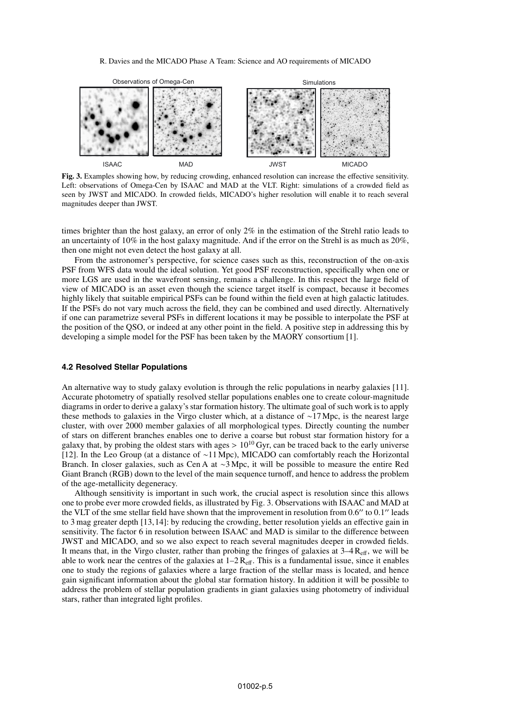### R. Davies and the MICADO Phase A Team: Science and AO requirements of MICADO



**Fig. 3.** Examples showing how, by reducing crowding, enhanced resolution can increase the effective sensitivity. Left: observations of Omega-Cen by ISAAC and MAD at the VLT. Right: simulations of a crowded field as seen by JWST and MICADO. In crowded fields, MICADO's higher resolution will enable it to reach several magnitudes deeper than JWST.

times brighter than the host galaxy, an error of only 2% in the estimation of the Strehl ratio leads to an uncertainty of 10% in the host galaxy magnitude. And if the error on the Strehl is as much as 20%, then one might not even detect the host galaxy at all.

From the astronomer's perspective, for science cases such as this, reconstruction of the on-axis PSF from WFS data would the ideal solution. Yet good PSF reconstruction, specifically when one or more LGS are used in the wavefront sensing, remains a challenge. In this respect the large field of view of MICADO is an asset even though the science target itself is compact, because it becomes highly likely that suitable empirical PSFs can be found within the field even at high galactic latitudes. If the PSFs do not vary much across the field, they can be combined and used directly. Alternatively if one can parametrize several PSFs in different locations it may be possible to interpolate the PSF at the position of the QSO, or indeed at any other point in the field. A positive step in addressing this by developing a simple model for the PSF has been taken by the MAORY consortium [1].

#### **4.2 Resolved Stellar Populations**

An alternative way to study galaxy evolution is through the relic populations in nearby galaxies [11]. Accurate photometry of spatially resolved stellar populations enables one to create colour-magnitude diagrams in order to derive a galaxy's star formation history. The ultimate goal of such work is to apply these methods to galaxies in the Virgo cluster which, at a distance of ∼17 Mpc, is the nearest large cluster, with over 2000 member galaxies of all morphological types. Directly counting the number of stars on different branches enables one to derive a coarse but robust star formation history for a galaxy that, by probing the oldest stars with ages  $> 10^{10}$  Gyr, can be traced back to the early universe [12]. In the Leo Group (at a distance of ∼11 Mpc), MICADO can comfortably reach the Horizontal Branch. In closer galaxies, such as Cen A at ∼3 Mpc, it will be possible to measure the entire Red Giant Branch (RGB) down to the level of the main sequence turnoff, and hence to address the problem of the age-metallicity degeneracy.

Although sensitivity is important in such work, the crucial aspect is resolution since this allows one to probe ever more crowded fields, as illustrated by Fig. 3. Observations with ISAAC and MAD at the VLT of the sme stellar field have shown that the improvement in resolution from  $0.6''$  to  $0.1''$  leads to 3 mag greater depth [13,14]: by reducing the crowding, better resolution yields an effective gain in sensitivity. The factor 6 in resolution between ISAAC and MAD is similar to the difference between JWST and MICADO, and so we also expect to reach several magnitudes deeper in crowded fields. It means that, in the Virgo cluster, rather than probing the fringes of galaxies at  $3-4$  R<sub>eff</sub>, we will be able to work near the centres of the galaxies at  $1-2$  R<sub>eff</sub>. This is a fundamental issue, since it enables one to study the regions of galaxies where a large fraction of the stellar mass is located, and hence gain significant information about the global star formation history. In addition it will be possible to address the problem of stellar population gradients in giant galaxies using photometry of individual stars, rather than integrated light profiles.